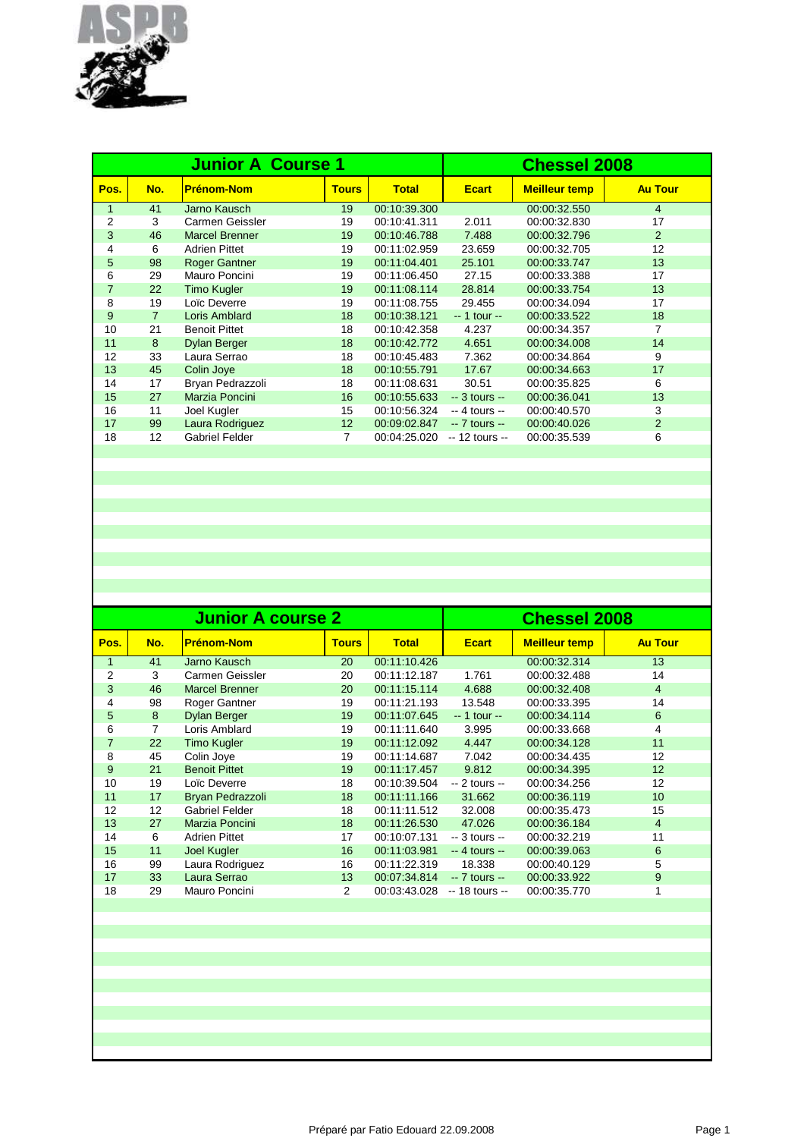

|                | <b>Junior A Course 1</b> |                       |                 |              |                 | <b>Chessel 2008</b>  |                |  |  |
|----------------|--------------------------|-----------------------|-----------------|--------------|-----------------|----------------------|----------------|--|--|
| Pos.           | No.                      | <b>Prénom-Nom</b>     | <b>Tours</b>    | <b>Total</b> | <b>Ecart</b>    | <b>Meilleur temp</b> | <b>Au Tour</b> |  |  |
| $\mathbf{1}$   | 41                       | Jarno Kausch          | 19              | 00:10:39.300 |                 | 00:00:32.550         | 4              |  |  |
| $\overline{2}$ | 3                        | Carmen Geissler       | 19              | 00:10:41.311 | 2.011           | 00:00:32.830         | 17             |  |  |
| 3              | 46                       | <b>Marcel Brenner</b> | 19              | 00:10:46.788 | 7.488           | 00:00:32.796         | 2              |  |  |
| 4              | 6                        | <b>Adrien Pittet</b>  | 19              | 00:11:02.959 | 23.659          | 00:00:32.705         | 12             |  |  |
| 5              | 98                       | <b>Roger Gantner</b>  | 19              | 00:11:04.401 | 25.101          | 00:00:33.747         | 13             |  |  |
| 6              | 29                       | Mauro Poncini         | 19              | 00:11:06.450 | 27.15           | 00:00:33.388         | 17             |  |  |
| $\overline{7}$ | 22                       | <b>Timo Kugler</b>    | 19              | 00:11:08.114 | 28.814          | 00:00:33.754         | 13             |  |  |
| 8              | 19                       | Loïc Deverre          | 19              | 00:11:08.755 | 29.455          | 00:00:34.094         | 17             |  |  |
| 9              | $\overline{7}$           | Loris Amblard         | 18              | 00:10:38.121 | $-1$ tour $-$   | 00:00:33.522         | 18             |  |  |
| 10             | 21                       | <b>Benoit Pittet</b>  | 18              | 00:10:42.358 | 4.237           | 00:00:34.357         | 7              |  |  |
| 11             | 8                        | <b>Dylan Berger</b>   | 18              | 00:10:42.772 | 4.651           | 00:00:34.008         | 14             |  |  |
| 12             | 33                       | Laura Serrao          | 18              | 00:10:45.483 | 7.362           | 00:00:34.864         | 9              |  |  |
| 13             | 45                       | Colin Joye            | 18              | 00:10:55.791 | 17.67           | 00:00:34.663         | 17             |  |  |
| 14             | 17                       | Bryan Pedrazzoli      | 18              | 00:11:08.631 | 30.51           | 00:00:35.825         | 6              |  |  |
| 15             | 27                       | Marzia Poncini        | 16              | 00:10:55.633 | $-3$ tours $-$  | 00:00:36.041         | 13             |  |  |
| 16             | 11                       | Joel Kugler           | 15              | 00:10:56.324 | $-4$ tours $-$  | 00:00:40.570         | 3              |  |  |
| 17             | 99                       | Laura Rodriguez       | 12 <sup>2</sup> | 00:09:02.847 | $-7$ tours $-$  | 00:00:40.026         | 2              |  |  |
| 18             | 12                       | <b>Gabriel Felder</b> | 7               | 00:04:25.020 | $-12$ tours $-$ | 00:00:35.539         | 6              |  |  |
|                |                          |                       |                 |              |                 |                      |                |  |  |

|     |                       | <b>Chessel 2008</b> |                          |                 |                      |                |
|-----|-----------------------|---------------------|--------------------------|-----------------|----------------------|----------------|
| No. | <b>Prénom-Nom</b>     | <b>Tours</b>        | <b>Total</b>             | <b>Ecart</b>    | <b>Meilleur temp</b> | <b>Au Tour</b> |
| 41  | Jarno Kausch          | 20                  | 00:11:10.426             |                 | 00:00:32.314         | 13             |
| 3   | Carmen Geissler       | 20                  | 00:11:12.187             | 1.761           | 00:00:32.488         | 14             |
| 46  | <b>Marcel Brenner</b> | 20                  | 00:11:15.114             | 4.688           | 00:00:32.408         | $\overline{4}$ |
| 98  | Roger Gantner         | 19                  | 00:11:21.193             | 13.548          | 00:00:33.395         | 14             |
| 8   | <b>Dylan Berger</b>   | 19                  | 00:11:07.645             | $-1$ tour $-$   | 00:00:34.114         | 6              |
| 7   | Loris Amblard         | 19                  | 00:11:11.640             | 3.995           | 00:00:33.668         | 4              |
| 22  | <b>Timo Kugler</b>    | 19                  | 00:11:12.092             | 4.447           | 00:00:34.128         | 11             |
| 45  | Colin Joye            | 19                  | 00:11:14.687             | 7.042           | 00:00:34.435         | 12             |
| 21  | <b>Benoit Pittet</b>  | 19                  | 00:11:17.457             | 9.812           | 00:00:34.395         | 12             |
| 19  | Loïc Deverre          | 18                  | 00:10:39.504             | $-2$ tours $-$  | 00:00:34.256         | 12             |
| 17  | Bryan Pedrazzoli      | 18                  | 00:11:11.166             | 31.662          | 00:00:36.119         | 10             |
| 12  | <b>Gabriel Felder</b> | 18                  | 00:11:11.512             | 32.008          | 00:00:35.473         | 15             |
| 27  | Marzia Poncini        | 18                  | 00:11:26.530             | 47.026          | 00:00:36.184         | $\overline{4}$ |
| 6   | <b>Adrien Pittet</b>  | 17                  | 00:10:07.131             | $-3$ tours $-$  | 00:00:32.219         | 11             |
| 11  | <b>Joel Kugler</b>    | 16                  | 00:11:03.981             | $-4$ tours $-$  | 00:00:39.063         | 6              |
| 99  | Laura Rodriguez       | 16                  | 00:11:22.319             | 18.338          | 00:00:40.129         | 5              |
| 33  | Laura Serrao          | 13                  | 00:07:34.814             | $-7$ tours $-$  | 00:00:33.922         | 9              |
| 29  | Mauro Poncini         | 2                   | 00:03:43.028             | $-18$ tours $-$ | 00:00:35.770         | 1              |
|     |                       |                     | <b>Junior A course 2</b> |                 |                      |                |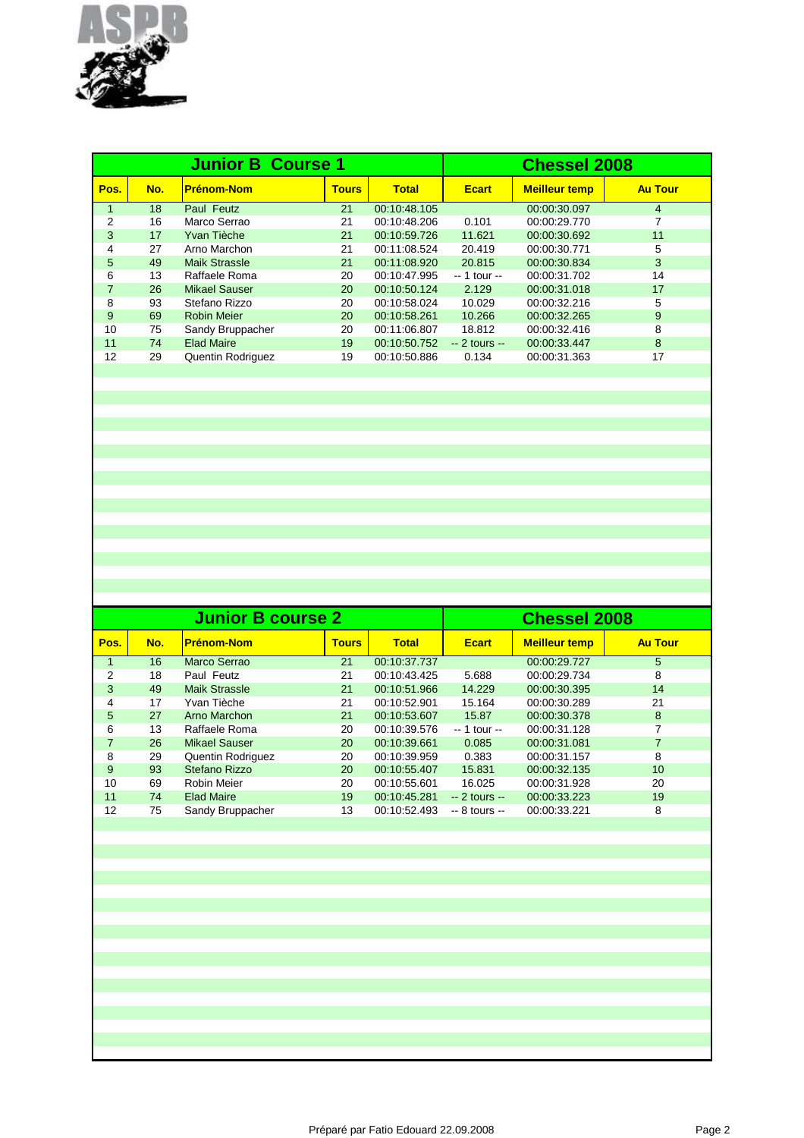

|                | <b>Junior B Course 1</b> |                      |              |              |                | <b>Chessel 2008</b>  |                |  |  |
|----------------|--------------------------|----------------------|--------------|--------------|----------------|----------------------|----------------|--|--|
| Pos.           | No.                      | <b>Prénom-Nom</b>    | <b>Tours</b> | <b>Total</b> | <b>Ecart</b>   | <b>Meilleur temp</b> | <b>Au Tour</b> |  |  |
| $\mathbf{1}$   | 18                       | Paul Feutz           | 21           | 00:10:48.105 |                | 00:00:30.097         | 4              |  |  |
| 2              | 16                       | Marco Serrao         | 21           | 00:10:48.206 | 0.101          | 00:00:29.770         | 7              |  |  |
| 3              | 17                       | Yvan Tièche          | 21           | 00:10:59.726 | 11.621         | 00:00:30.692         | 11             |  |  |
| 4              | 27                       | Arno Marchon         | 21           | 00:11:08.524 | 20.419         | 00:00:30.771         | 5              |  |  |
| 5              | 49                       | <b>Maik Strassle</b> | 21           | 00:11:08.920 | 20.815         | 00:00:30.834         | 3              |  |  |
| 6              | 13                       | Raffaele Roma        | 20           | 00:10:47.995 | $-1$ tour $-$  | 00:00:31.702         | 14             |  |  |
| $\overline{7}$ | 26                       | Mikael Sauser        | 20           | 00:10:50.124 | 2.129          | 00:00:31.018         | 17             |  |  |
| 8              | 93                       | Stefano Rizzo        | 20           | 00:10:58.024 | 10.029         | 00:00:32.216         | 5              |  |  |
| 9              | 69                       | <b>Robin Meier</b>   | 20           | 00:10:58.261 | 10.266         | 00:00:32.265         | 9              |  |  |
| 10             | 75                       | Sandy Bruppacher     | 20           | 00:11:06.807 | 18.812         | 00:00:32.416         | 8              |  |  |
| 11             | 74                       | <b>Elad Maire</b>    | 19           | 00:10:50.752 | $-2$ tours $-$ | 00:00:33.447         | 8              |  |  |
| 12             | 29                       | Quentin Rodriguez    | 19           | 00:10:50.886 | 0.134          | 00:00:31.363         | 17             |  |  |
|                |                          |                      |              |              |                |                      |                |  |  |

|     |                          | <b>Chessel 2008</b> |                          |                |                      |                |
|-----|--------------------------|---------------------|--------------------------|----------------|----------------------|----------------|
| No. | <b>Prénom-Nom</b>        | <b>Tours</b>        | <b>Total</b>             | <b>Ecart</b>   | <b>Meilleur temp</b> | <b>Au Tour</b> |
| 16  | Marco Serrao             | 21                  | 00:10:37.737             |                | 00:00:29.727         | 5              |
| 18  | Paul Feutz               | 21                  | 00:10:43.425             | 5.688          | 00:00:29.734         | 8              |
| 49  | <b>Maik Strassle</b>     | 21                  | 00:10:51.966             | 14.229         | 00:00:30.395         | 14             |
| 17  | Yvan Tièche              | 21                  | 00:10:52.901             | 15.164         | 00:00:30.289         | 21             |
| 27  | Arno Marchon             | 21                  | 00:10:53.607             | 15.87          | 00:00:30.378         | 8              |
| 13  | Raffaele Roma            | 20                  | 00:10:39.576             | -- 1 tour --   | 00:00:31.128         |                |
| 26  | <b>Mikael Sauser</b>     | 20                  | 00:10:39.661             | 0.085          | 00:00:31.081         | $\overline{7}$ |
| 29  | <b>Quentin Rodriguez</b> | 20                  | 00:10:39.959             | 0.383          | 00:00:31.157         | 8              |
| 93  | Stefano Rizzo            | 20                  | 00:10:55.407             | 15.831         | 00:00:32.135         | 10             |
| 69  | Robin Meier              | 20                  | 00:10:55.601             | 16.025         | 00:00:31.928         | 20             |
| 74  | <b>Elad Maire</b>        | 19                  | 00:10:45.281             | $-2$ tours $-$ | 00:00:33.223         | 19             |
| 75  | Sandy Bruppacher         | 13                  | 00:10:52.493             | $-8$ tours $-$ | 00:00:33.221         | 8              |
|     |                          |                     | <b>Junior B course 2</b> |                |                      |                |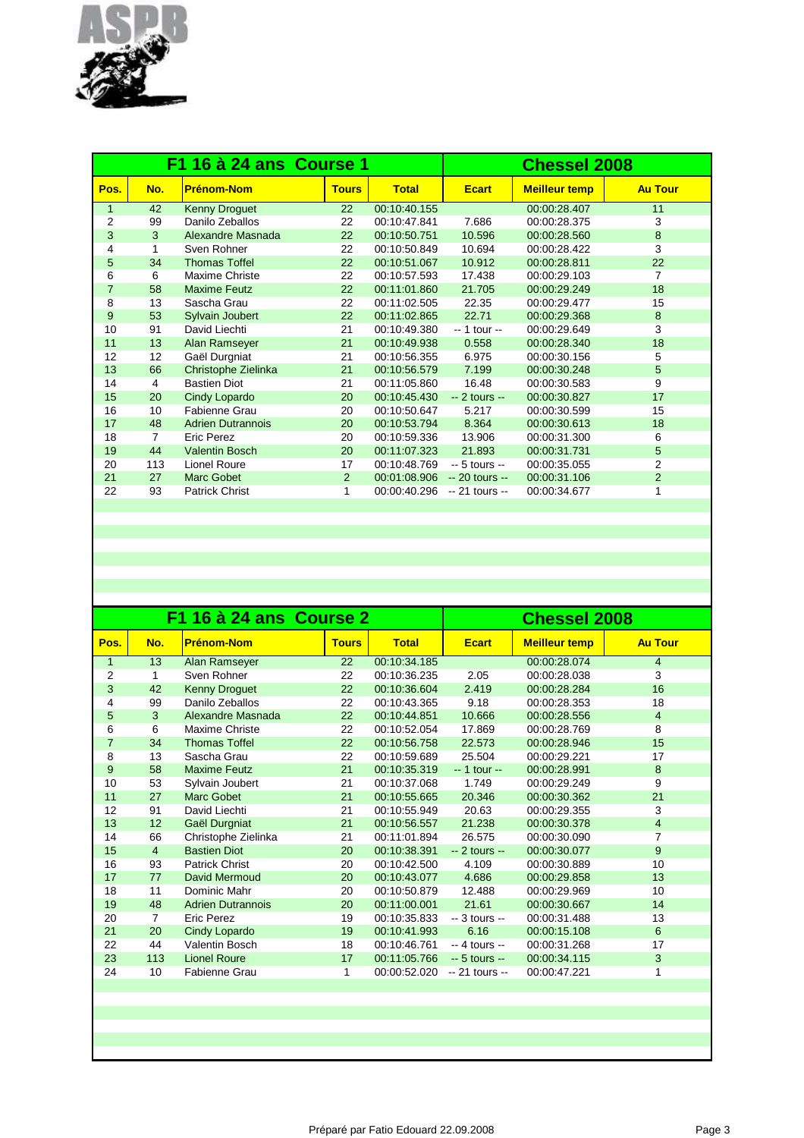

| F1 16 à 24 ans Course 1 |     |                          |              |              | <b>Chessel 2008</b> |                      |                |  |
|-------------------------|-----|--------------------------|--------------|--------------|---------------------|----------------------|----------------|--|
| Pos.                    | No. | <b>Prénom-Nom</b>        | <b>Tours</b> | <b>Total</b> | <b>Ecart</b>        | <b>Meilleur temp</b> | <b>Au Tour</b> |  |
| 1                       | 42  | <b>Kenny Droguet</b>     | 22           | 00:10:40.155 |                     | 00:00:28.407         | 11             |  |
| $\overline{2}$          | 99  | Danilo Zeballos          | 22           | 00:10:47.841 | 7.686               | 00:00:28.375         | 3              |  |
| 3                       | 3   | Alexandre Masnada        | 22           | 00:10:50.751 | 10.596              | 00:00:28.560         | 8              |  |
| 4                       | 1   | Sven Rohner              | 22           | 00:10:50.849 | 10.694              | 00:00:28.422         | 3              |  |
| 5                       | 34  | <b>Thomas Toffel</b>     | 22           | 00:10:51.067 | 10.912              | 00:00:28.811         | 22             |  |
| 6                       | 6   | Maxime Christe           | 22           | 00:10:57.593 | 17.438              | 00:00:29.103         | 7              |  |
| $\overline{7}$          | 58  | <b>Maxime Feutz</b>      | 22           | 00:11:01.860 | 21.705              | 00:00:29.249         | 18             |  |
| 8                       | 13  | Sascha Grau              | 22           | 00:11:02.505 | 22.35               | 00:00:29.477         | 15             |  |
| 9                       | 53  | <b>Sylvain Joubert</b>   | 22           | 00:11:02.865 | 22.71               | 00:00:29.368         | 8              |  |
| 10                      | 91  | David Liechti            | 21           | 00:10:49.380 | $-1$ tour $-$       | 00:00:29.649         | 3              |  |
| 11                      | 13  | Alan Ramseyer            | 21           | 00:10:49.938 | 0.558               | 00:00:28.340         | 18             |  |
| 12                      | 12  | Gaël Durgniat            | 21           | 00:10:56.355 | 6.975               | 00:00:30.156         | 5              |  |
| 13                      | 66  | Christophe Zielinka      | 21           | 00:10:56.579 | 7.199               | 00:00:30.248         | 5              |  |
| 14                      | 4   | <b>Bastien Diot</b>      | 21           | 00:11:05.860 | 16.48               | 00:00:30.583         | 9              |  |
| 15                      | 20  | Cindy Lopardo            | 20           | 00:10:45.430 | $-2$ tours $-$      | 00:00:30.827         | 17             |  |
| 16                      | 10  | Fabienne Grau            | 20           | 00:10:50.647 | 5.217               | 00:00:30.599         | 15             |  |
| 17                      | 48  | <b>Adrien Dutrannois</b> | 20           | 00:10:53.794 | 8.364               | 00:00:30.613         | 18             |  |
| 18                      | 7   | <b>Eric Perez</b>        | 20           | 00:10:59.336 | 13.906              | 00:00:31.300         | 6              |  |
| 19                      | 44  | <b>Valentin Bosch</b>    | 20           | 00:11:07.323 | 21.893              | 00:00:31.731         | 5              |  |
| 20                      | 113 | <b>Lionel Roure</b>      | 17           | 00:10:48.769 | $-5$ tours $-$      | 00:00:35.055         | 2              |  |
| 21                      | 27  | <b>Marc Gobet</b>        | 2            | 00:01:08.906 | $-20$ tours $-$     | 00:00:31.106         | $\overline{2}$ |  |
| 22                      | 93  | <b>Patrick Christ</b>    | 1            | 00:00:40.296 | $-21$ tours $-$     | 00:00:34.677         | 1              |  |
|                         |     |                          |              |              |                     |                      |                |  |

| F1 16 à 24 ans Course 2 |                |                          |              |              | <b>Chessel 2008</b> |                      |                |  |
|-------------------------|----------------|--------------------------|--------------|--------------|---------------------|----------------------|----------------|--|
| Pos.                    | No.            | <b>Prénom-Nom</b>        | <b>Tours</b> | <b>Total</b> | <b>Ecart</b>        | <b>Meilleur temp</b> | <b>Au Tour</b> |  |
| 1                       | 13             | Alan Ramseyer            | 22           | 00:10:34.185 |                     | 00:00:28.074         | $\overline{4}$ |  |
| 2                       | 1              | Sven Rohner              | 22           | 00:10:36.235 | 2.05                | 00:00:28.038         | 3              |  |
| 3                       | 42             | <b>Kenny Droguet</b>     | 22           | 00:10:36.604 | 2.419               | 00:00:28.284         | 16             |  |
| 4                       | 99             | Danilo Zeballos          | 22           | 00:10:43.365 | 9.18                | 00:00:28.353         | 18             |  |
| 5                       | 3              | Alexandre Masnada        | 22           | 00:10:44.851 | 10.666              | 00:00:28.556         | $\overline{4}$ |  |
| 6                       | 6              | Maxime Christe           | 22           | 00:10:52.054 | 17.869              | 00:00:28.769         | 8              |  |
| $\overline{7}$          | 34             | <b>Thomas Toffel</b>     | 22           | 00:10:56.758 | 22.573              | 00:00:28.946         | 15             |  |
| 8                       | 13             | Sascha Grau              | 22           | 00:10:59.689 | 25.504              | 00:00:29.221         | 17             |  |
| 9                       | 58             | <b>Maxime Feutz</b>      | 21           | 00:10:35.319 | $-1$ tour $-$       | 00:00:28.991         | 8              |  |
| 10                      | 53             | Sylvain Joubert          | 21           | 00:10:37.068 | 1.749               | 00:00:29.249         | 9              |  |
| 11                      | 27             | <b>Marc Gobet</b>        | 21           | 00:10:55.665 | 20.346              | 00:00:30.362         | 21             |  |
| 12                      | 91             | David Liechti            | 21           | 00:10:55.949 | 20.63               | 00:00:29.355         | 3              |  |
| 13                      | 12             | Gaël Durgniat            | 21           | 00:10:56.557 | 21.238              | 00:00:30.378         | $\overline{4}$ |  |
| 14                      | 66             | Christophe Zielinka      | 21           | 00:11:01.894 | 26.575              | 00:00:30.090         | 7              |  |
| 15                      | $\overline{4}$ | <b>Bastien Diot</b>      | 20           | 00:10:38.391 | $-2$ tours $-$      | 00:00:30.077         | 9              |  |
| 16                      | 93             | <b>Patrick Christ</b>    | 20           | 00:10:42.500 | 4.109               | 00:00:30.889         | 10             |  |
| 17                      | 77             | David Mermoud            | 20           | 00:10:43.077 | 4.686               | 00:00:29.858         | 13             |  |
| 18                      | 11             | Dominic Mahr             | 20           | 00:10:50.879 | 12.488              | 00:00:29.969         | 10             |  |
| 19                      | 48             | <b>Adrien Dutrannois</b> | 20           | 00:11:00.001 | 21.61               | 00:00:30.667         | 14             |  |
| 20                      | $\overline{7}$ | Eric Perez               | 19           | 00:10:35.833 | $-3$ tours $-$      | 00:00:31.488         | 13             |  |
| 21                      | 20             | Cindy Lopardo            | 19           | 00:10:41.993 | 6.16                | 00:00:15.108         | 6              |  |
| 22                      | 44             | Valentin Bosch           | 18           | 00:10:46.761 | $-4$ tours $-$      | 00:00:31.268         | 17             |  |
| 23                      | 113            | <b>Lionel Roure</b>      | 17           | 00:11:05.766 | $-5$ tours $-$      | 00:00:34.115         | 3              |  |
| 24                      | 10             | <b>Fabienne Grau</b>     | 1            | 00:00:52.020 | $-21$ tours $-$     | 00:00:47.221         | 1              |  |
|                         |                |                          |              |              |                     |                      |                |  |
|                         |                |                          |              |              |                     |                      |                |  |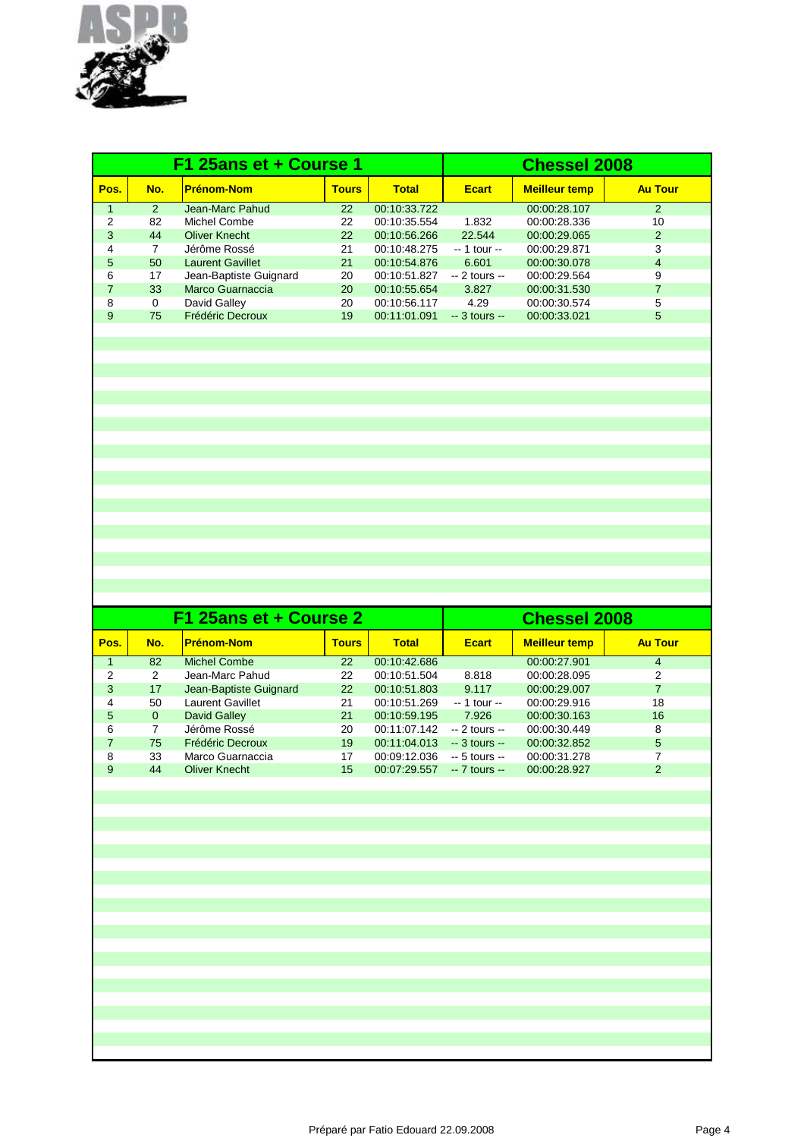

| F1 25ans et + Course 1 |               |                         |              |              | <b>Chessel 2008</b> |                      |                |
|------------------------|---------------|-------------------------|--------------|--------------|---------------------|----------------------|----------------|
| Pos.                   | No.           | <b>Prénom-Nom</b>       | <b>Tours</b> | <b>Total</b> | <b>Ecart</b>        | <b>Meilleur temp</b> | <b>Au Tour</b> |
|                        | $\mathcal{P}$ | Jean-Marc Pahud         | 22           | 00:10:33.722 |                     | 00:00:28.107         | $\mathcal{P}$  |
| $\overline{2}$         | 82            | Michel Combe            | 22           | 00:10:35.554 | 1.832               | 00:00:28.336         | 10             |
| 3                      | 44            | <b>Oliver Knecht</b>    | 22           | 00:10:56.266 | 22.544              | 00:00:29.065         | $\overline{2}$ |
| 4                      | 7             | Jérôme Rossé            | 21           | 00:10:48.275 | $-1$ tour $-$       | 00:00:29.871         | 3              |
| 5                      | 50            | <b>Laurent Gavillet</b> | 21           | 00:10:54.876 | 6.601               | 00:00:30.078         | 4              |
| 6                      | 17            | Jean-Baptiste Guignard  | 20           | 00:10:51.827 | $-2$ tours $-$      | 00:00:29.564         | 9              |
| 7                      | 33            | Marco Guarnaccia        | 20           | 00:10:55.654 | 3.827               | 00:00:31.530         |                |
| 8                      | 0             | David Galley            | 20           | 00:10:56.117 | 4.29                | 00:00:30.574         | 5              |
| 9                      | 75            | Frédéric Decroux        | 19           | 00:11:01.091 | $-3$ tours $-$      | 00:00:33.021         | 5              |
|                        |               |                         |              |              |                     |                      |                |

|      |          | F1 25ans et + Course 2  | <b>Chessel 2008</b> |              |                |                      |                |
|------|----------|-------------------------|---------------------|--------------|----------------|----------------------|----------------|
| Pos. | No.      | <b>Prénom-Nom</b>       | <b>Tours</b>        | <b>Total</b> | <b>Ecart</b>   | <b>Meilleur temp</b> | <b>Au Tour</b> |
|      | 82       | Michel Combe            | 22                  | 00:10:42.686 |                | 00:00:27.901         | 4              |
| 2    | 2        | Jean-Marc Pahud         | 22                  | 00:10:51.504 | 8.818          | 00:00:28.095         | 2              |
| 3    | 17       | Jean-Baptiste Guignard  | 22                  | 00:10:51.803 | 9.117          | 00:00:29.007         |                |
| 4    | 50       | <b>Laurent Gavillet</b> | 21                  | 00:10:51.269 | -- 1 tour --   | 00:00:29.916         | 18             |
| 5    | $\Omega$ | David Galley            | 21                  | 00:10:59.195 | 7.926          | 00:00:30.163         | 16             |
| 6    |          | Jérôme Rossé            | 20                  | 00:11:07.142 | $-2$ tours $-$ | 00:00:30.449         | 8              |
|      | 75       | Frédéric Decroux        | 19                  | 00:11:04.013 | $-3$ tours $-$ | 00:00:32.852         | 5              |
| 8    | 33       | Marco Guarnaccia        | 17                  | 00:09:12.036 | $-5$ tours $-$ | 00:00:31.278         |                |
| 9    | 44       | <b>Oliver Knecht</b>    | 15                  | 00:07:29.557 | $-7$ tours $-$ | 00:00:28.927         | 2              |